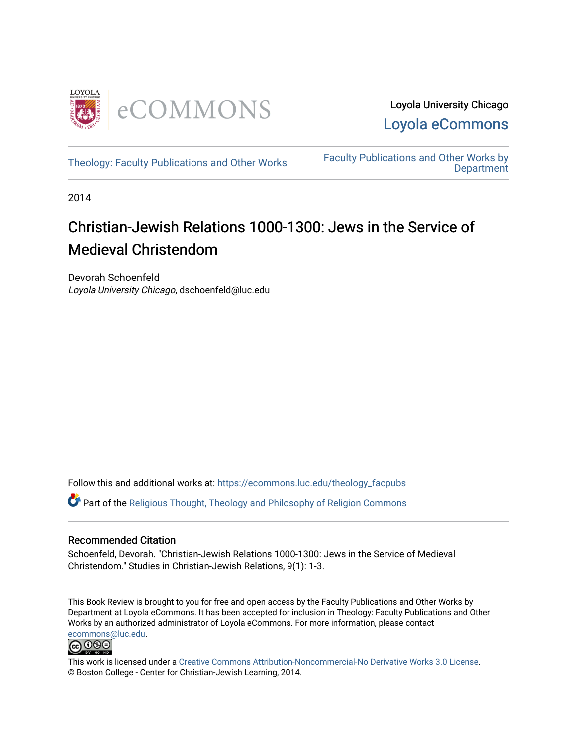

Loyola University Chicago [Loyola eCommons](https://ecommons.luc.edu/) 

[Theology: Faculty Publications and Other Works](https://ecommons.luc.edu/theology_facpubs) Faculty Publications and Other Works by **Department** 

2014

## Christian-Jewish Relations 1000-1300: Jews in the Service of Medieval Christendom

Devorah Schoenfeld Loyola University Chicago, dschoenfeld@luc.edu

Follow this and additional works at: [https://ecommons.luc.edu/theology\\_facpubs](https://ecommons.luc.edu/theology_facpubs?utm_source=ecommons.luc.edu%2Ftheology_facpubs%2F35&utm_medium=PDF&utm_campaign=PDFCoverPages)

Part of the [Religious Thought, Theology and Philosophy of Religion Commons](http://network.bepress.com/hgg/discipline/544?utm_source=ecommons.luc.edu%2Ftheology_facpubs%2F35&utm_medium=PDF&utm_campaign=PDFCoverPages) 

## Recommended Citation

Schoenfeld, Devorah. "Christian-Jewish Relations 1000-1300: Jews in the Service of Medieval Christendom." Studies in Christian-Jewish Relations, 9(1): 1-3.

This Book Review is brought to you for free and open access by the Faculty Publications and Other Works by Department at Loyola eCommons. It has been accepted for inclusion in Theology: Faculty Publications and Other Works by an authorized administrator of Loyola eCommons. For more information, please contact [ecommons@luc.edu](mailto:ecommons@luc.edu).



This work is licensed under a [Creative Commons Attribution-Noncommercial-No Derivative Works 3.0 License.](https://creativecommons.org/licenses/by-nc-nd/3.0/) © Boston College - Center for Christian-Jewish Learning, 2014.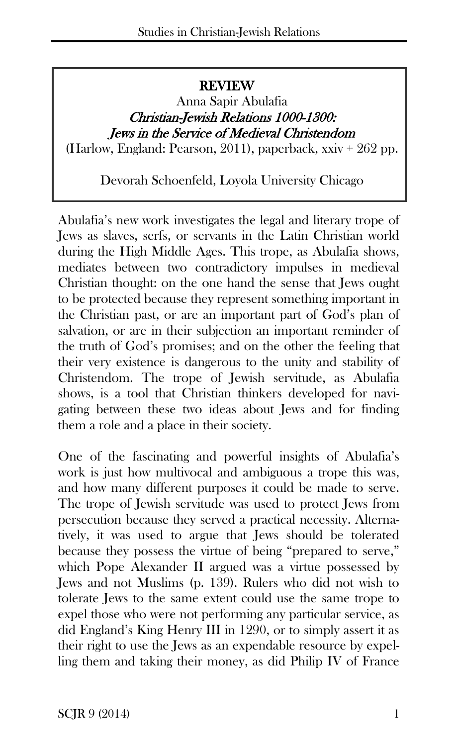## j REVIEW

## Anna Sapir Abulafia Christian-Jewish Relations 1000-1300: Jews in the Service of Medieval Christendom

(Harlow, England: Pearson, 2011), paperback, xxiv + 262 pp.

Devorah Schoenfeld, Loyola University Chicago

Abulafia's new work investigates the legal and literary trope of Jews as slaves, serfs, or servants in the Latin Christian world during the High Middle Ages. This trope, as Abulafia shows, mediates between two contradictory impulses in medieval Christian thought: on the one hand the sense that Jews ought to be protected because they represent something important in the Christian past, or are an important part of God's plan of salvation, or are in their subjection an important reminder of the truth of God's promises; and on the other the feeling that their very existence is dangerous to the unity and stability of Christendom. The trope of Jewish servitude, as Abulafia shows, is a tool that Christian thinkers developed for navigating between these two ideas about Jews and for finding them a role and a place in their society.

One of the fascinating and powerful insights of Abulafia's work is just how multivocal and ambiguous a trope this was, and how many different purposes it could be made to serve. The trope of Jewish servitude was used to protect Jews from persecution because they served a practical necessity. Alternatively, it was used to argue that Jews should be tolerated because they possess the virtue of being "prepared to serve," which Pope Alexander II argued was a virtue possessed by Jews and not Muslims (p. 139). Rulers who did not wish to tolerate Jews to the same extent could use the same trope to expel those who were not performing any particular service, as did England's King Henry III in 1290, or to simply assert it as their right to use the Jews as an expendable resource by expelling them and taking their money, as did Philip IV of France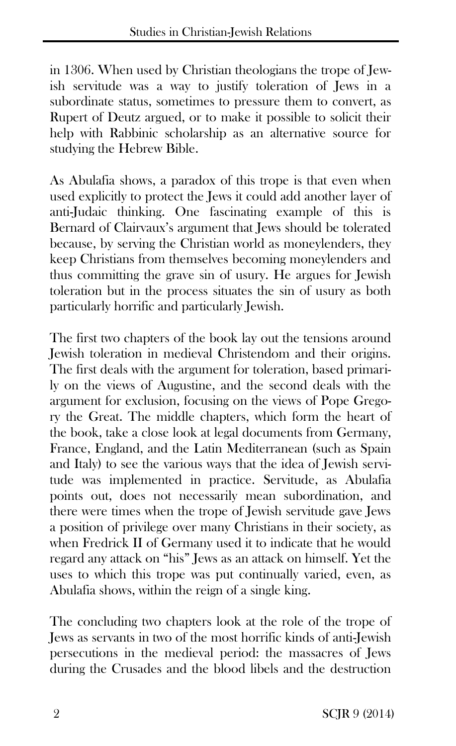in 1306. When used by Christian theologians the trope of Jewish servitude was a way to justify toleration of Jews in a subordinate status, sometimes to pressure them to convert, as Rupert of Deutz argued, or to make it possible to solicit their help with Rabbinic scholarship as an alternative source for studying the Hebrew Bible.

As Abulafia shows, a paradox of this trope is that even when used explicitly to protect the Jews it could add another layer of anti-Judaic thinking. One fascinating example of this is Bernard of Clairvaux's argument that Jews should be tolerated because, by serving the Christian world as moneylenders, they keep Christians from themselves becoming moneylenders and thus committing the grave sin of usury. He argues for Jewish toleration but in the process situates the sin of usury as both particularly horrific and particularly Jewish.

The first two chapters of the book lay out the tensions around Jewish toleration in medieval Christendom and their origins. The first deals with the argument for toleration, based primarily on the views of Augustine, and the second deals with the argument for exclusion, focusing on the views of Pope Gregory the Great. The middle chapters, which form the heart of the book, take a close look at legal documents from Germany, France, England, and the Latin Mediterranean (such as Spain and Italy) to see the various ways that the idea of Jewish servitude was implemented in practice. Servitude, as Abulafia points out, does not necessarily mean subordination, and there were times when the trope of Jewish servitude gave Jews a position of privilege over many Christians in their society, as when Fredrick II of Germany used it to indicate that he would regard any attack on "his" Jews as an attack on himself. Yet the uses to which this trope was put continually varied, even, as Abulafia shows, within the reign of a single king.

The concluding two chapters look at the role of the trope of Jews as servants in two of the most horrific kinds of anti-Jewish persecutions in the medieval period: the massacres of Jews during the Crusades and the blood libels and the destruction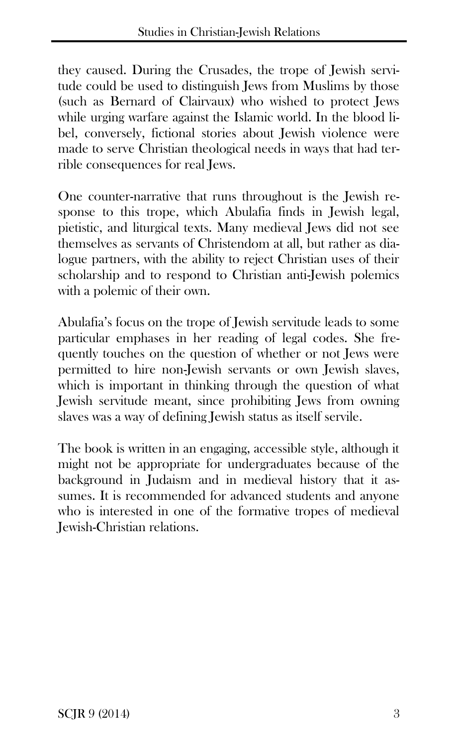they caused. During the Crusades, the trope of Jewish servitude could be used to distinguish Jews from Muslims by those (such as Bernard of Clairvaux) who wished to protect Jews while urging warfare against the Islamic world. In the blood libel, conversely, fictional stories about Jewish violence were made to serve Christian theological needs in ways that had terrible consequences for real Jews.

One counter-narrative that runs throughout is the Jewish response to this trope, which Abulafia finds in Jewish legal, pietistic, and liturgical texts. Many medieval Jews did not see themselves as servants of Christendom at all, but rather as dialogue partners, with the ability to reject Christian uses of their scholarship and to respond to Christian anti-Jewish polemics with a polemic of their own.

Abulafia's focus on the trope of Jewish servitude leads to some particular emphases in her reading of legal codes. She frequently touches on the question of whether or not Jews were permitted to hire non-Jewish servants or own Jewish slaves, which is important in thinking through the question of what Jewish servitude meant, since prohibiting Jews from owning slaves was a way of defining Jewish status as itself servile.

The book is written in an engaging, accessible style, although it might not be appropriate for undergraduates because of the background in Judaism and in medieval history that it assumes. It is recommended for advanced students and anyone who is interested in one of the formative tropes of medieval Jewish-Christian relations.